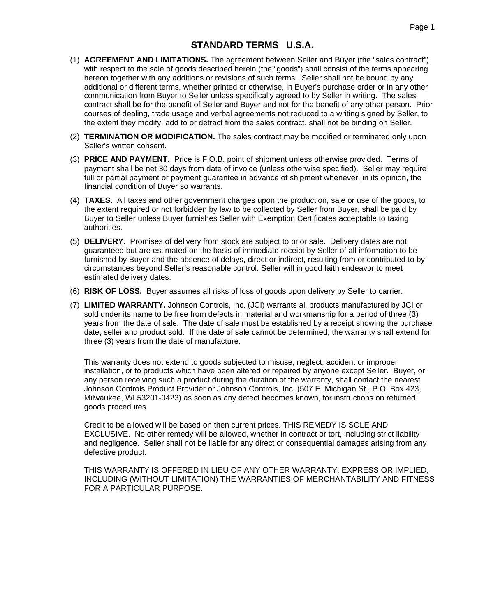## **STANDARD TERMS U.S.A.**

- (1) **AGREEMENT AND LIMITATIONS.** The agreement between Seller and Buyer (the "sales contract") with respect to the sale of goods described herein (the "goods") shall consist of the terms appearing hereon together with any additions or revisions of such terms. Seller shall not be bound by any additional or different terms, whether printed or otherwise, in Buyer's purchase order or in any other communication from Buyer to Seller unless specifically agreed to by Seller in writing. The sales contract shall be for the benefit of Seller and Buyer and not for the benefit of any other person. Prior courses of dealing, trade usage and verbal agreements not reduced to a writing signed by Seller, to the extent they modify, add to or detract from the sales contract, shall not be binding on Seller.
- (2) **TERMINATION OR MODIFICATION.** The sales contract may be modified or terminated only upon Seller's written consent.
- (3) **PRICE AND PAYMENT.** Price is F.O.B. point of shipment unless otherwise provided. Terms of payment shall be net 30 days from date of invoice (unless otherwise specified). Seller may require full or partial payment or payment guarantee in advance of shipment whenever, in its opinion, the financial condition of Buyer so warrants.
- (4) **TAXES.** All taxes and other government charges upon the production, sale or use of the goods, to the extent required or not forbidden by law to be collected by Seller from Buyer, shall be paid by Buyer to Seller unless Buyer furnishes Seller with Exemption Certificates acceptable to taxing authorities.
- (5) **DELIVERY.** Promises of delivery from stock are subject to prior sale. Delivery dates are not guaranteed but are estimated on the basis of immediate receipt by Seller of all information to be furnished by Buyer and the absence of delays, direct or indirect, resulting from or contributed to by circumstances beyond Seller's reasonable control. Seller will in good faith endeavor to meet estimated delivery dates.
- (6) **RISK OF LOSS.** Buyer assumes all risks of loss of goods upon delivery by Seller to carrier.
- (7) **LIMITED WARRANTY.** Johnson Controls, Inc. (JCI) warrants all products manufactured by JCI or sold under its name to be free from defects in material and workmanship for a period of three (3) years from the date of sale. The date of sale must be established by a receipt showing the purchase date, seller and product sold. If the date of sale cannot be determined, the warranty shall extend for three (3) years from the date of manufacture.

This warranty does not extend to goods subjected to misuse, neglect, accident or improper installation, or to products which have been altered or repaired by anyone except Seller. Buyer, or any person receiving such a product during the duration of the warranty, shall contact the nearest Johnson Controls Product Provider or Johnson Controls, Inc. (507 E. Michigan St., P.O. Box 423, Milwaukee, WI 53201-0423) as soon as any defect becomes known, for instructions on returned goods procedures.

Credit to be allowed will be based on then current prices. THIS REMEDY IS SOLE AND EXCLUSIVE. No other remedy will be allowed, whether in contract or tort, including strict liability and negligence. Seller shall not be liable for any direct or consequential damages arising from any defective product.

THIS WARRANTY IS OFFERED IN LIEU OF ANY OTHER WARRANTY, EXPRESS OR IMPLIED, INCLUDING (WITHOUT LIMITATION) THE WARRANTIES OF MERCHANTABILITY AND FITNESS FOR A PARTICULAR PURPOSE.